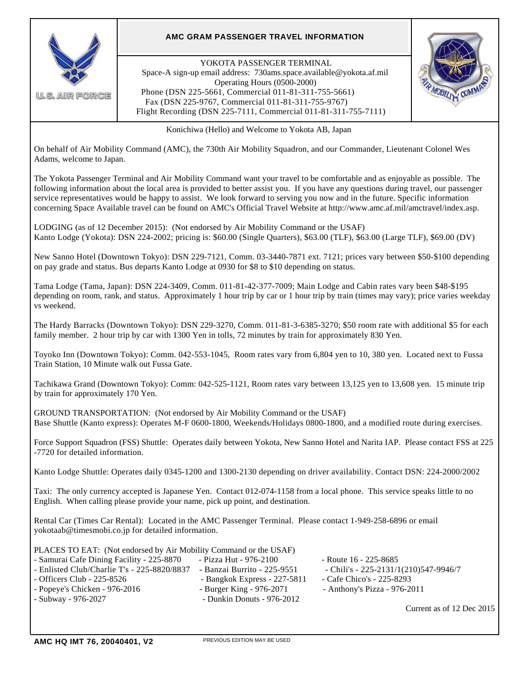